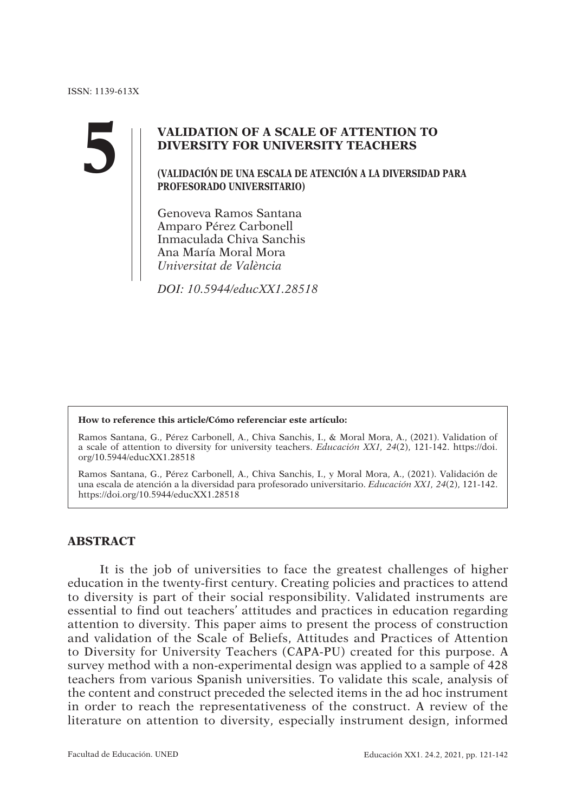**5**

## **VALIDATION OF A SCALE OF ATTENTION TO DIVERSITY FOR UNIVERSITY TEACHERS**

**(VALIDACIÓN DE UNA ESCALA DE ATENCIÓN A LA DIVERSIDAD PARA PROFESORADO UNIVERSITARIO)**

Genoveva Ramos Santana Amparo Pérez Carbonell Inmaculada Chiva Sanchis Ana María Moral Mora Universitat de València

DOI: 10.5944/educXX1.28518

#### **How to reference this article/Cómo referenciar este artículo:**

Ramos Santana, G., Pérez Carbonell, A., Chiva Sanchis, I., & Moral Mora, A., (2021). Validation of a scale of attention to diversity for university teachers. Educación XX1, 24(2), 121-142. https://doi. org/10.5944/educXX1.28518

Ramos Santana, G., Pérez Carbonell, A., Chiva Sanchis, I., y Moral Mora, A., (2021). Validación de una escala de atención a la diversidad para profesorado universitario. Educación XX1, 24(2), 121-142. https://doi.org/10.5944/educXX1.28518

### **ABSTRACT**

It is the job of universities to face the greatest challenges of higher education in the twenty-first century. Creating policies and practices to attend to diversity is part of their social responsibility. Validated instruments are essential to find out teachers' attitudes and practices in education regarding attention to diversity. This paper aims to present the process of construction and validation of the Scale of Beliefs, Attitudes and Practices of Attention to Diversity for University Teachers (CAPA-PU) created for this purpose. A survey method with a non-experimental design was applied to a sample of 428 teachers from various Spanish universities. To validate this scale, analysis of the content and construct preceded the selected items in the ad hoc instrument in order to reach the representativeness of the construct. A review of the literature on attention to diversity, especially instrument design, informed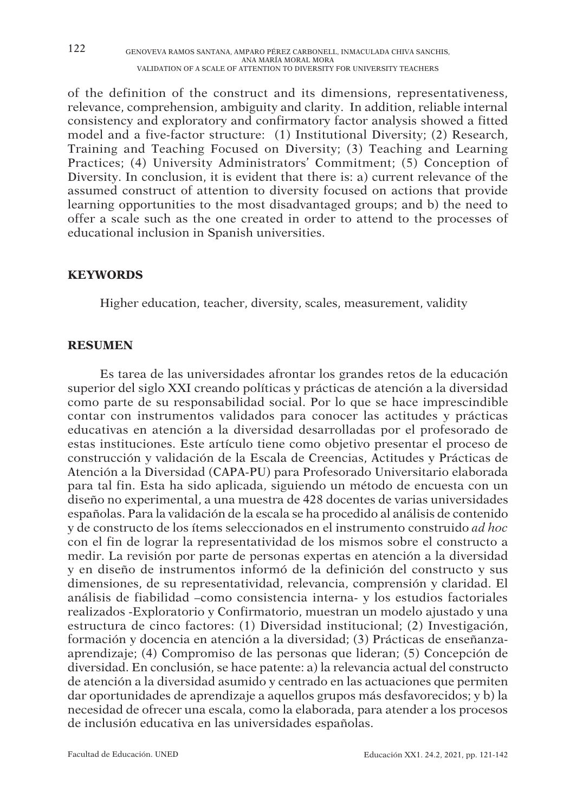122 GENOVEVA RAMOS SANTANA, AMPARO PÉREZ CARBONELL, INMACULADA CHIVA SANCHIS, ANA MARIA MORAL MORA<br>VALIDATION OF A SCALE OF ATTENTION TO DIVERSITY FOR UNIVERSITY TEACHERS

of the definition of the construct and its dimensions, representativeness, relevance, comprehension, ambiguity and clarity. In addition, reliable internal consistency and exploratory and confirmatory factor analysis showed a fitted model and a five-factor structure: (1) Institutional Diversity; (2) Research, Training and Teaching Focused on Diversity; (3) Teaching and Learning Practices; (4) University Administrators' Commitment; (5) Conception of Diversity. In conclusion, it is evident that there is: a) current relevance of the assumed construct of attention to diversity focused on actions that provide learning opportunities to the most disadvantaged groups; and b) the need to offer a scale such as the one created in order to attend to the processes of educational inclusion in Spanish universities.

### **KEYWORDS**

Higher education, teacher, diversity, scales, measurement, validity

### **RESUMEN**

Es tarea de las universidades afrontar los grandes retos de la educación superior del siglo XXI creando políticas y prácticas de atención a la diversidad como parte de su responsabilidad social. Por lo que se hace imprescindible contar con instrumentos validados para conocer las actitudes y prácticas educativas en atención a la diversidad desarrolladas por el profesorado de estas instituciones. Este artículo tiene como objetivo presentar el proceso de construcción y validación de la Escala de Creencias, Actitudes y Prácticas de Atención a la Diversidad (CAPA-PU) para Profesorado Universitario elaborada para tal fin. Esta ha sido aplicada, siguiendo un método de encuesta con un diseño no experimental, a una muestra de 428 docentes de varias universidades españolas. Para la validación de la escala se ha procedido al análisis de contenido y de constructo de los ítems seleccionados en el instrumento construido ad hoc con el fin de lograr la representatividad de los mismos sobre el constructo a medir. La revisión por parte de personas expertas en atención a la diversidad y en diseño de instrumentos informó de la definición del constructo y sus dimensiones, de su representatividad, relevancia, comprensión y claridad. El análisis de fiabilidad –como consistencia interna- y los estudios factoriales realizados -Exploratorio y Confirmatorio, muestran un modelo ajustado y una estructura de cinco factores: (1) Diversidad institucional; (2) Investigación, formación y docencia en atención a la diversidad; (3) Prácticas de enseñanzaaprendizaje; (4) Compromiso de las personas que lideran; (5) Concepción de diversidad. En conclusión, se hace patente: a) la relevancia actual del constructo de atención a la diversidad asumido y centrado en las actuaciones que permiten dar oportunidades de aprendizaje a aquellos grupos más desfavorecidos; y b) la necesidad de ofrecer una escala, como la elaborada, para atender a los procesos de inclusión educativa en las universidades españolas.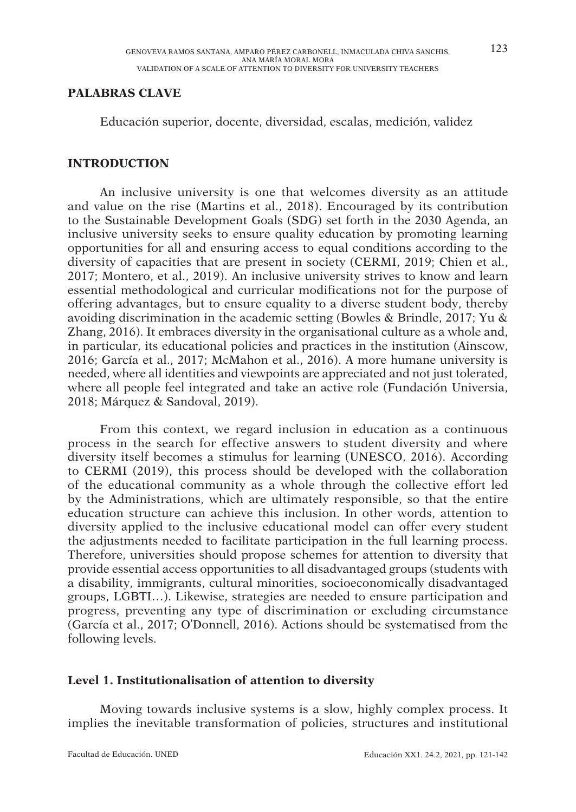#### **PALABRAS CLAVE**

Educación superior, docente, diversidad, escalas, medición, validez

#### **INTRODUCTION**

An inclusive university is one that welcomes diversity as an attitude and value on the rise (Martins et al., 2018). Encouraged by its contribution to the Sustainable Development Goals (SDG) set forth in the 2030 Agenda, an inclusive university seeks to ensure quality education by promoting learning opportunities for all and ensuring access to equal conditions according to the diversity of capacities that are present in society (CERMI, 2019; Chien et al., 2017; Montero, et al., 2019). An inclusive university strives to know and learn essential methodological and curricular modifications not for the purpose of offering advantages, but to ensure equality to a diverse student body, thereby avoiding discrimination in the academic setting (Bowles & Brindle, 2017; Yu & Zhang, 2016). It embraces diversity in the organisational culture as a whole and, in particular, its educational policies and practices in the institution (Ainscow, 2016; García et al., 2017; McMahon et al., 2016). A more humane university is needed, where all identities and viewpoints are appreciated and not just tolerated, where all people feel integrated and take an active role (Fundación Universia, 2018; Márquez & Sandoval, 2019).

From this context, we regard inclusion in education as a continuous process in the search for effective answers to student diversity and where diversity itself becomes a stimulus for learning (UNESCO, 2016). According to CERMI (2019), this process should be developed with the collaboration of the educational community as a whole through the collective effort led by the Administrations, which are ultimately responsible, so that the entire education structure can achieve this inclusion. In other words, attention to diversity applied to the inclusive educational model can offer every student the adjustments needed to facilitate participation in the full learning process. Therefore, universities should propose schemes for attention to diversity that provide essential access opportunities to all disadvantaged groups (students with a disability, immigrants, cultural minorities, socioeconomically disadvantaged groups, LGBTI…). Likewise, strategies are needed to ensure participation and progress, preventing any type of discrimination or excluding circumstance (García et al., 2017; O'Donnell, 2016). Actions should be systematised from the following levels.

#### **Level 1. Institutionalisation of attention to diversity**

Moving towards inclusive systems is a slow, highly complex process. It implies the inevitable transformation of policies, structures and institutional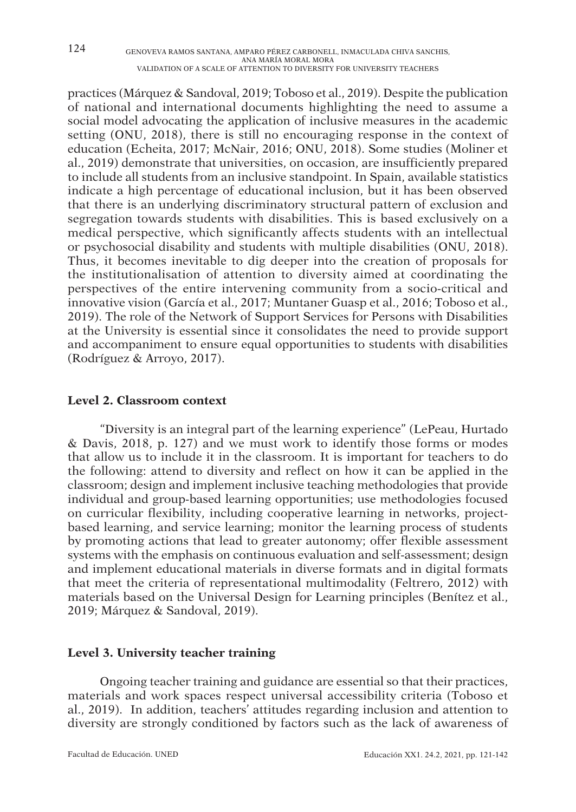practices (Márquez & Sandoval, 2019; Toboso et al., 2019). Despite the publication of national and international documents highlighting the need to assume a social model advocating the application of inclusive measures in the academic setting (ONU, 2018), there is still no encouraging response in the context of education (Echeita, 2017; McNair, 2016; ONU, 2018). Some studies (Moliner et al., 2019) demonstrate that universities, on occasion, are insufficiently prepared to include all students from an inclusive standpoint. In Spain, available statistics indicate a high percentage of educational inclusion, but it has been observed that there is an underlying discriminatory structural pattern of exclusion and segregation towards students with disabilities. This is based exclusively on a medical perspective, which significantly affects students with an intellectual or psychosocial disability and students with multiple disabilities (ONU, 2018). Thus, it becomes inevitable to dig deeper into the creation of proposals for the institutionalisation of attention to diversity aimed at coordinating the perspectives of the entire intervening community from a socio-critical and innovative vision (García et al., 2017; Muntaner Guasp et al., 2016; Toboso et al., 2019). The role of the Network of Support Services for Persons with Disabilities at the University is essential since it consolidates the need to provide support and accompaniment to ensure equal opportunities to students with disabilities (Rodríguez & Arroyo, 2017).

#### **Level 2. Classroom context**

"Diversity is an integral part of the learning experience" (LePeau, Hurtado & Davis, 2018, p. 127) and we must work to identify those forms or modes that allow us to include it in the classroom. It is important for teachers to do the following: attend to diversity and reflect on how it can be applied in the classroom; design and implement inclusive teaching methodologies that provide individual and group-based learning opportunities; use methodologies focused on curricular flexibility, including cooperative learning in networks, projectbased learning, and service learning; monitor the learning process of students by promoting actions that lead to greater autonomy; offer flexible assessment systems with the emphasis on continuous evaluation and self-assessment; design and implement educational materials in diverse formats and in digital formats that meet the criteria of representational multimodality (Feltrero, 2012) with materials based on the Universal Design for Learning principles (Benítez et al., 2019; Márquez & Sandoval, 2019).

### **Level 3. University teacher training**

Ongoing teacher training and guidance are essential so that their practices, materials and work spaces respect universal accessibility criteria (Toboso et al., 2019). In addition, teachers' attitudes regarding inclusion and attention to diversity are strongly conditioned by factors such as the lack of awareness of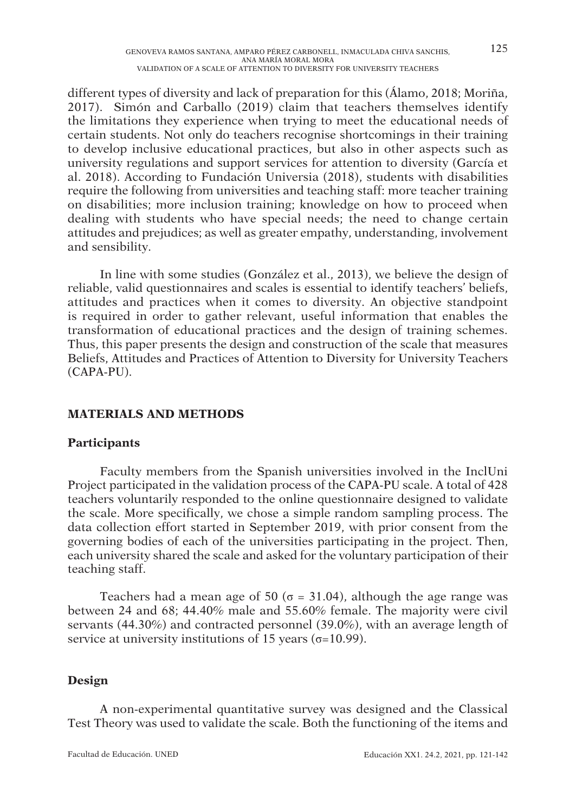different types of diversity and lack of preparation for this (Álamo, 2018; Moriña, 2017). Simón and Carballo (2019) claim that teachers themselves identify the limitations they experience when trying to meet the educational needs of certain students. Not only do teachers recognise shortcomings in their training to develop inclusive educational practices, but also in other aspects such as university regulations and support services for attention to diversity (García et al. 2018). According to Fundación Universia (2018), students with disabilities require the following from universities and teaching staff: more teacher training on disabilities; more inclusion training; knowledge on how to proceed when dealing with students who have special needs; the need to change certain attitudes and prejudices; as well as greater empathy, understanding, involvement and sensibility.

In line with some studies (González et al., 2013), we believe the design of reliable, valid questionnaires and scales is essential to identify teachers' beliefs, attitudes and practices when it comes to diversity. An objective standpoint is required in order to gather relevant, useful information that enables the transformation of educational practices and the design of training schemes. Thus, this paper presents the design and construction of the scale that measures Beliefs, Attitudes and Practices of Attention to Diversity for University Teachers (CAPA-PU).

## **MATERIALS AND METHODS**

## **Participants**

Faculty members from the Spanish universities involved in the InclUni Project participated in the validation process of the CAPA-PU scale. A total of 428 teachers voluntarily responded to the online questionnaire designed to validate the scale. More specifically, we chose a simple random sampling process. The data collection effort started in September 2019, with prior consent from the governing bodies of each of the universities participating in the project. Then, each university shared the scale and asked for the voluntary participation of their teaching staff.

Teachers had a mean age of 50 ( $\sigma$  = 31.04), although the age range was between 24 and 68; 44.40% male and 55.60% female. The majority were civil servants (44.30%) and contracted personnel (39.0%), with an average length of service at university institutions of 15 years ( $\sigma$ =10.99).

## **Design**

A non-experimental quantitative survey was designed and the Classical Test Theory was used to validate the scale. Both the functioning of the items and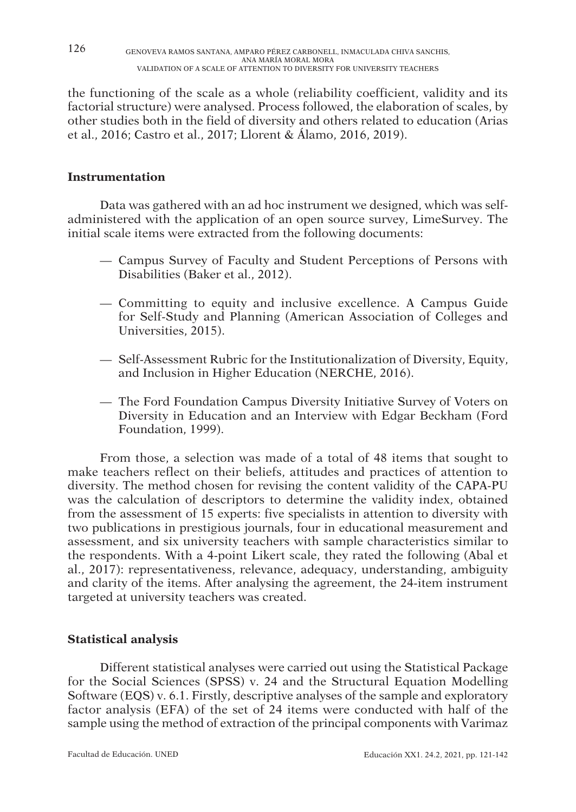the functioning of the scale as a whole (reliability coefficient, validity and its factorial structure) were analysed. Process followed, the elaboration of scales, by other studies both in the field of diversity and others related to education (Arias et al., 2016; Castro et al., 2017; Llorent & Álamo, 2016, 2019).

### **Instrumentation**

Data was gathered with an ad hoc instrument we designed, which was selfadministered with the application of an open source survey, LimeSurvey. The initial scale items were extracted from the following documents:

- Campus Survey of Faculty and Student Perceptions of Persons with Disabilities (Baker et al., 2012).
- Committing to equity and inclusive excellence. A Campus Guide for Self-Study and Planning (American Association of Colleges and Universities, 2015).
- Self-Assessment Rubric for the Institutionalization of Diversity, Equity, and Inclusion in Higher Education (NERCHE, 2016).
- The Ford Foundation Campus Diversity Initiative Survey of Voters on Diversity in Education and an Interview with Edgar Beckham (Ford Foundation, 1999).

From those, a selection was made of a total of 48 items that sought to make teachers reflect on their beliefs, attitudes and practices of attention to diversity. The method chosen for revising the content validity of the CAPA-PU was the calculation of descriptors to determine the validity index, obtained from the assessment of 15 experts: five specialists in attention to diversity with two publications in prestigious journals, four in educational measurement and assessment, and six university teachers with sample characteristics similar to the respondents. With a 4-point Likert scale, they rated the following (Abal et al., 2017): representativeness, relevance, adequacy, understanding, ambiguity and clarity of the items. After analysing the agreement, the 24-item instrument targeted at university teachers was created.

### **Statistical analysis**

Different statistical analyses were carried out using the Statistical Package for the Social Sciences (SPSS) v. 24 and the Structural Equation Modelling Software (EQS) v. 6.1. Firstly, descriptive analyses of the sample and exploratory factor analysis (EFA) of the set of 24 items were conducted with half of the sample using the method of extraction of the principal components with Varimaz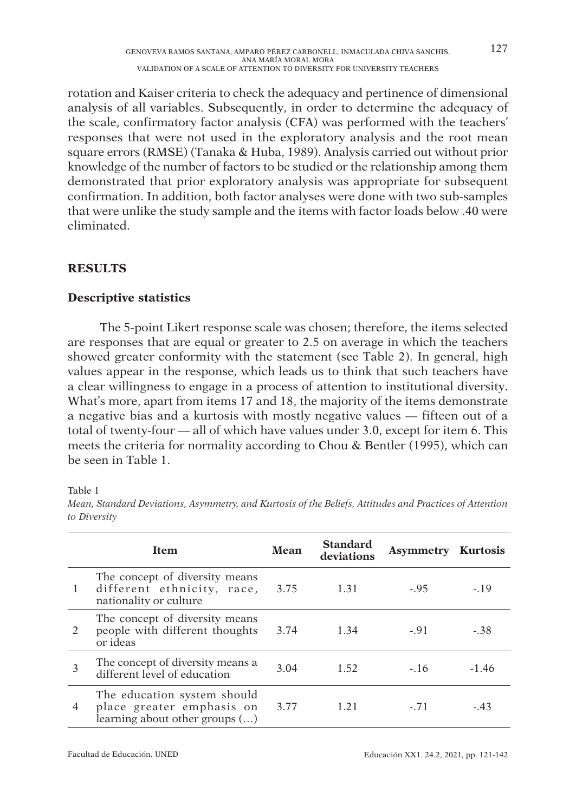rotation and Kaiser criteria to check the adequacy and pertinence of dimensional analysis of all variables. Subsequently, in order to determine the adequacy of the scale, confirmatory factor analysis (CFA) was performed with the teachers' responses that were not used in the exploratory analysis and the root mean square errors (RMSE) (Tanaka & Huba, 1989). Analysis carried out without prior knowledge of the number of factors to be studied or the relationship among them demonstrated that prior exploratory analysis was appropriate for subsequent confirmation. In addition, both factor analyses were done with two sub-samples that were unlike the study sample and the items with factor loads below .40 were eliminated.

## **RESULTS**

### **Descriptive statistics**

The 5-point Likert response scale was chosen; therefore, the items selected are responses that are equal or greater to 2.5 on average in which the teachers showed greater conformity with the statement (see Table 2). In general, high values appear in the response, which leads us to think that such teachers have a clear willingness to engage in a process of attention to institutional diversity. What's more, apart from items 17 and 18, the majority of the items demonstrate a negative bias and a kurtosis with mostly negative values — fifteen out of a total of twenty-four — all of which have values under 3.0, except for item 6. This meets the criteria for normality according to Chou & Bentler (1995), which can be seen in Table 1.

Table 1

|                | <b>Item</b>                                                                                  | Mean | <b>Standard</b><br>deviations | <b>Asymmetry Kurtosis</b> |         |
|----------------|----------------------------------------------------------------------------------------------|------|-------------------------------|---------------------------|---------|
| 1              | The concept of diversity means<br>different ethnicity, race,<br>nationality or culture       | 3.75 | 1.31                          | $-.95$                    | $-19$   |
| $\mathfrak{D}$ | The concept of diversity means<br>people with different thoughts<br>or ideas                 | 3.74 | 1.34                          | $-91$                     | -.38    |
| 3              | The concept of diversity means a<br>different level of education                             | 3.04 | 1.52                          | $-16$                     | $-1.46$ |
| 4              | The education system should<br>place greater emphasis on<br>learning about other groups $()$ | 3.77 | 1.21                          | $-.71$                    | $-43$   |

Mean, Standard Deviations, Asymmetry, and Kurtosis of the Beliefs, Attitudes and Practices of Attention to Diversity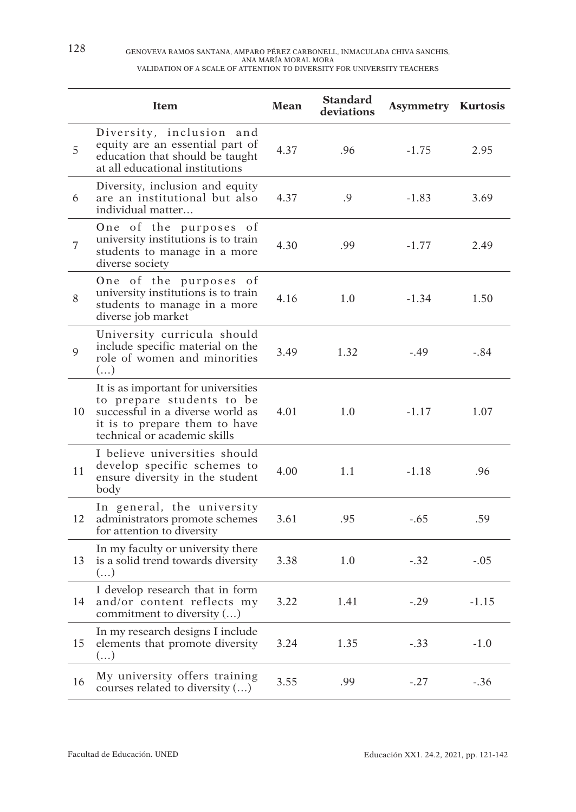|                | <b>Item</b>                                                                                                                                                           | Mean | <b>Standard</b><br>deviations | <b>Asymmetry Kurtosis</b> |         |
|----------------|-----------------------------------------------------------------------------------------------------------------------------------------------------------------------|------|-------------------------------|---------------------------|---------|
| 5              | Diversity, inclusion and<br>equity are an essential part of<br>education that should be taught<br>at all educational institutions                                     | 4.37 | .96                           | $-1.75$                   | 2.95    |
| 6              | Diversity, inclusion and equity<br>are an institutional but also<br>individual matter                                                                                 | 4.37 | .9                            | $-1.83$                   | 3.69    |
| $\overline{7}$ | One of the purposes of<br>university institutions is to train<br>students to manage in a more<br>diverse society                                                      | 4.30 | .99                           | $-1.77$                   | 2.49    |
| 8              | One of the purposes of<br>university institutions is to train<br>students to manage in a more<br>diverse job market                                                   | 4.16 | 1.0                           | $-1.34$                   | 1.50    |
| 9              | University curricula should<br>include specific material on the<br>role of women and minorities<br>()                                                                 | 3.49 | 1.32                          | $-.49$                    | $-.84$  |
| 10             | It is as important for universities<br>to prepare students to be<br>successful in a diverse world as<br>it is to prepare them to have<br>technical or academic skills | 4.01 | 1.0                           | $-1.17$                   | 1.07    |
| 11             | I believe universities should<br>develop specific schemes to<br>ensure diversity in the student<br>body                                                               | 4.00 | 1.1                           | $-1.18$                   | .96     |
| 12             | In general, the university<br>administrators promote schemes<br>for attention to diversity                                                                            | 3.61 | .95                           | $-.65$                    | .59     |
| 13             | In my faculty or university there<br>is a solid trend towards diversity<br>()                                                                                         | 3.38 | 1.0                           | $-.32$                    | $-.05$  |
| 14             | I develop research that in form<br>and/or content reflects my<br>commitment to diversity ()                                                                           | 3.22 | 1.41                          | $-.29$                    | $-1.15$ |
| 15             | In my research designs I include<br>elements that promote diversity<br>$(\ldots)$                                                                                     | 3.24 | 1.35                          | $-.33$                    | $-1.0$  |
| 16             | My university offers training<br>courses related to diversity ()                                                                                                      | 3.55 | .99                           | $-.27$                    | $-.36$  |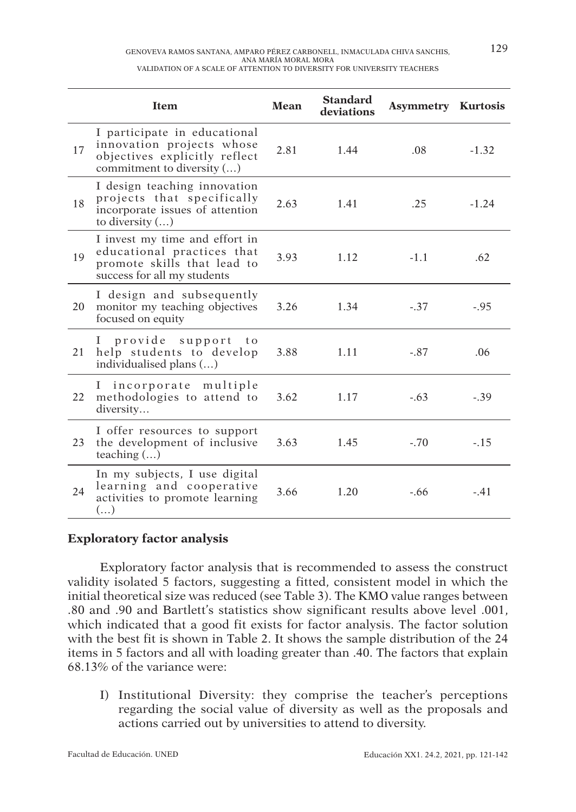|    | <b>Item</b>                                                                                                                | Mean | <b>Standard</b><br>deviations | <b>Asymmetry Kurtosis</b> |         |
|----|----------------------------------------------------------------------------------------------------------------------------|------|-------------------------------|---------------------------|---------|
| 17 | I participate in educational<br>innovation projects whose<br>objectives explicitly reflect<br>commitment to diversity ()   | 2.81 | 1.44                          | .08                       | $-1.32$ |
| 18 | I design teaching innovation<br>projects that specifically<br>incorporate issues of attention<br>to diversity $(\ldots)$   | 2.63 | 1.41                          | .25                       | $-1.24$ |
| 19 | I invest my time and effort in<br>educational practices that<br>promote skills that lead to<br>success for all my students | 3.93 | 1.12                          | $-1.1$                    | .62     |
| 20 | I design and subsequently<br>monitor my teaching objectives<br>focused on equity                                           | 3.26 | 1.34                          | $-.37$                    | $-.95$  |
| 21 | I provide<br>support<br>$t_{0}$<br>help students to develop<br>individualised plans ()                                     | 3.88 | 1.11                          | $-.87$                    | .06     |
| 22 | I incorporate multiple<br>methodologies to attend to<br>diversity                                                          | 3.62 | 1.17                          | $-.63$                    | $-.39$  |
| 23 | I offer resources to support<br>the development of inclusive<br>teaching $()$                                              | 3.63 | 1.45                          | $-.70$                    | $-.15$  |
| 24 | In my subjects, I use digital<br>learning and cooperative<br>activities to promote learning<br>()                          | 3.66 | 1.20                          | $-.66$                    | $-.41$  |

### **Exploratory factor analysis**

Exploratory factor analysis that is recommended to assess the construct validity isolated 5 factors, suggesting a fitted, consistent model in which the initial theoretical size was reduced (see Table 3). The KMO value ranges between .80 and .90 and Bartlett's statistics show significant results above level .001, which indicated that a good fit exists for factor analysis. The factor solution with the best fit is shown in Table 2. It shows the sample distribution of the 24 items in 5 factors and all with loading greater than .40. The factors that explain 68.13% of the variance were:

I) Institutional Diversity: they comprise the teacher's perceptions regarding the social value of diversity as well as the proposals and actions carried out by universities to attend to diversity.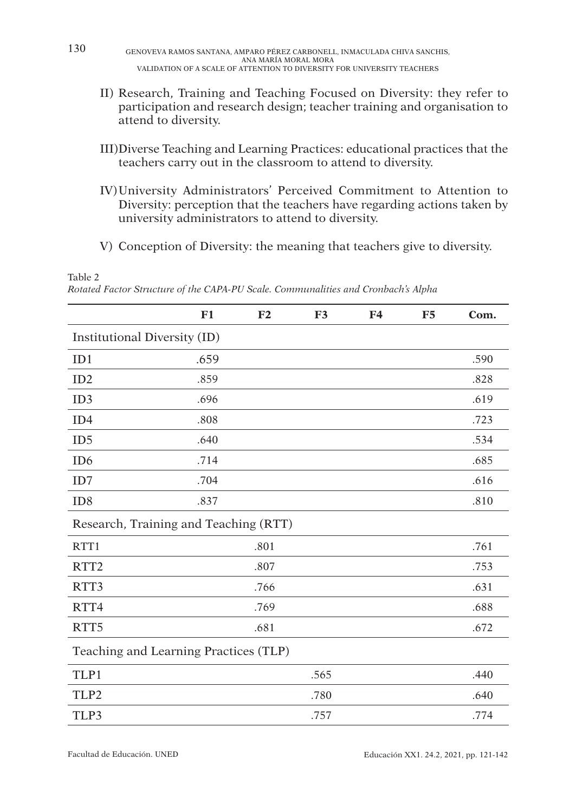130 GENOVEVA RAMOS SANTANA, AMPARO PÉREZ CARBONELL, INMACULADA CHIVA SANCHIS, ANA MARIA MORAL MORA<br>VALIDATION OF A SCALE OF ATTENTION TO DIVERSITY FOR UNIVERSITY TEACHERS

- II) Research, Training and Teaching Focused on Diversity: they refer to participation and research design; teacher training and organisation to attend to diversity.
- III) Diverse Teaching and Learning Practices: educational practices that the teachers carry out in the classroom to attend to diversity.
- IV) University Administrators' Perceived Commitment to Attention to Diversity: perception that the teachers have regarding actions taken by university administrators to attend to diversity.
- V) Conception of Diversity: the meaning that teachers give to diversity.

Table 2

Rotated Factor Structure of the CAPA-PU Scale. Communalities and Cronbach's Alpha

|                                       | F1   | F <sub>2</sub> | F3   | F <sub>4</sub> | F5 | Com. |  |
|---------------------------------------|------|----------------|------|----------------|----|------|--|
| Institutional Diversity (ID)          |      |                |      |                |    |      |  |
| ID1                                   | .659 |                |      |                |    | .590 |  |
| ID2                                   | .859 |                |      |                |    | .828 |  |
| ID3                                   | .696 |                |      |                |    | .619 |  |
| ID <sub>4</sub>                       | .808 |                |      |                |    | .723 |  |
| ID <sub>5</sub>                       | .640 |                |      |                |    | .534 |  |
| ID <sub>6</sub>                       | .714 |                |      |                |    | .685 |  |
| ID7                                   | .704 |                |      |                |    | .616 |  |
| ID <sub>8</sub>                       | .837 |                |      |                |    | .810 |  |
| Research, Training and Teaching (RTT) |      |                |      |                |    |      |  |
| RTT1                                  |      | .801           |      |                |    | .761 |  |
| RTT <sub>2</sub>                      |      | .807           |      |                |    | .753 |  |
| RTT3                                  |      | .766           |      |                |    | .631 |  |
| RTT4                                  |      | .769           |      |                |    | .688 |  |
| RTT <sub>5</sub>                      |      | .681           |      |                |    | .672 |  |
| Teaching and Learning Practices (TLP) |      |                |      |                |    |      |  |
| TLP1                                  |      |                | .565 |                |    | .440 |  |
| TLP2                                  |      |                | .780 |                |    | .640 |  |
| TLP3                                  |      |                | .757 |                |    | .774 |  |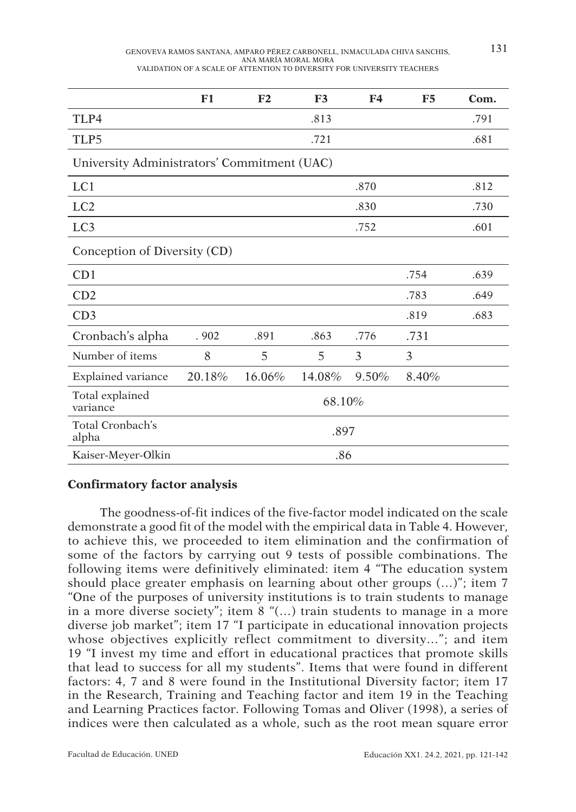| GENOVEVA RAMOS SANTANA, AMPARO PÉREZ CARBONELL, INMACULADA CHIVA SANCHIS, | 131 |
|---------------------------------------------------------------------------|-----|
| ANA MARÍA MORAL MORA                                                      |     |
| VALIDATION OF A SCALE OF ATTENTION TO DIVERSITY FOR UNIVERSITY TEACHERS   |     |

|                                             | F1     | F2     | F <sub>3</sub> | F <sub>4</sub> | <b>F5</b> | Com. |  |  |  |
|---------------------------------------------|--------|--------|----------------|----------------|-----------|------|--|--|--|
| TLP4                                        |        |        | .813           |                |           | .791 |  |  |  |
| TLP5                                        |        |        | .721           |                |           | .681 |  |  |  |
| University Administrators' Commitment (UAC) |        |        |                |                |           |      |  |  |  |
| LC1                                         |        |        |                | .870           |           | .812 |  |  |  |
| LC <sub>2</sub>                             |        |        |                | .830           |           | .730 |  |  |  |
| LC <sub>3</sub>                             |        |        |                | .752           |           | .601 |  |  |  |
| Conception of Diversity (CD)                |        |        |                |                |           |      |  |  |  |
| CD1                                         |        |        |                |                | .754      | .639 |  |  |  |
| CD2                                         |        |        |                |                | .783      | .649 |  |  |  |
| CD3                                         |        |        |                |                | .819      | .683 |  |  |  |
| Cronbach's alpha                            | .902   | .891   | .863           | .776           | .731      |      |  |  |  |
| Number of items                             | 8      | 5      | 5              | 3              | 3         |      |  |  |  |
| Explained variance                          | 20.18% | 16.06% | 14.08%         | 9.50%          | 8.40%     |      |  |  |  |
| Total explained<br>variance                 | 68.10% |        |                |                |           |      |  |  |  |
| Total Cronbach's<br>alpha                   | .897   |        |                |                |           |      |  |  |  |
| Kaiser-Meyer-Olkin                          |        | .86    |                |                |           |      |  |  |  |

### **Confirmatory factor analysis**

The goodness-of-fit indices of the five-factor model indicated on the scale demonstrate a good fit of the model with the empirical data in Table 4. However, to achieve this, we proceeded to item elimination and the confirmation of some of the factors by carrying out 9 tests of possible combinations. The following items were definitively eliminated: item 4 "The education system should place greater emphasis on learning about other groups (…)"; item 7 "One of the purposes of university institutions is to train students to manage in a more diverse society"; item 8 "(…) train students to manage in a more diverse job market"; item 17 "I participate in educational innovation projects whose objectives explicitly reflect commitment to diversity…"; and item 19 "I invest my time and effort in educational practices that promote skills that lead to success for all my students". Items that were found in different factors: 4, 7 and 8 were found in the Institutional Diversity factor; item 17 in the Research, Training and Teaching factor and item 19 in the Teaching and Learning Practices factor. Following Tomas and Oliver (1998), a series of indices were then calculated as a whole, such as the root mean square error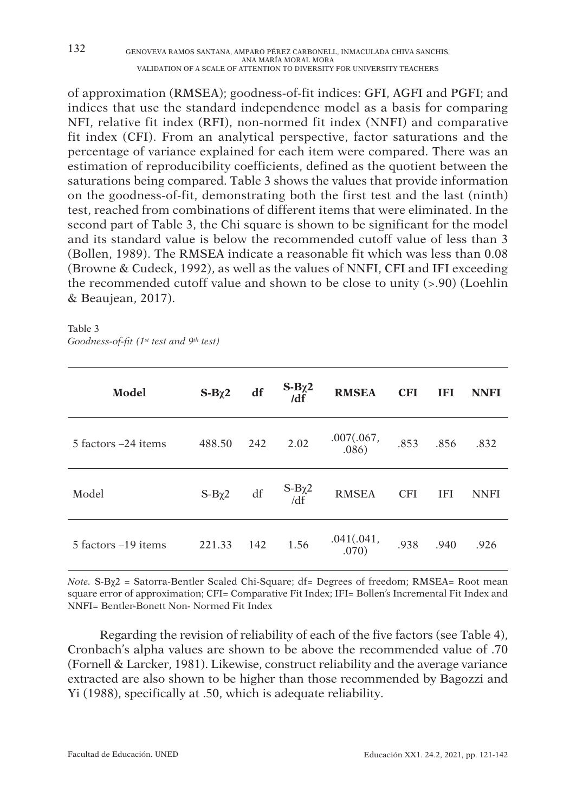of approximation (RMSEA); goodness-of-fit indices: GFI, AGFI and PGFI; and indices that use the standard independence model as a basis for comparing NFI, relative fit index (RFI), non-normed fit index (NNFI) and comparative fit index (CFI). From an analytical perspective, factor saturations and the percentage of variance explained for each item were compared. There was an estimation of reproducibility coefficients, defined as the quotient between the saturations being compared. Table 3 shows the values that provide information on the goodness-of-fit, demonstrating both the first test and the last (ninth) test, reached from combinations of different items that were eliminated. In the second part of Table 3, the Chi square is shown to be significant for the model and its standard value is below the recommended cutoff value of less than 3 (Bollen, 1989). The RMSEA indicate a reasonable fit which was less than 0.08 (Browne & Cudeck, 1992), as well as the values of NNFI, CFI and IFI exceeding the recommended cutoff value and shown to be close to unity  $(> 0.90)$  (Loehlin & Beaujean, 2017).

Table 3 Goodness-of-fit ( $1^{st}$  test and  $9^{th}$  test)

| Model               | $S-B\chi2$ | df  | $S-B\chi^2$<br>$\overline{\text{d}f}$ | <b>RMSEA</b>        | <b>CFI</b> | <b>IFI</b> | <b>NNFI</b> |
|---------------------|------------|-----|---------------------------------------|---------------------|------------|------------|-------------|
| 5 factors –24 items | 488.50     | 242 | 2.02                                  | .007(.067,<br>.086) | .853       | .856       | .832        |
| Model               | $S-B\chi2$ | df  | $S-B\chi^2$<br>/df                    | <b>RMSEA</b>        | <b>CFI</b> | <b>IFI</b> | <b>NNFI</b> |
| 5 factors –19 items | 221.33     | 142 | 1.56                                  | .041(.041,<br>.070) | .938       | .940       | .926        |

Note. S-Bχ2 = Satorra-Bentler Scaled Chi-Square; df= Degrees of freedom; RMSEA= Root mean square error of approximation; CFI= Comparative Fit Index; IFI= Bollen's Incremental Fit Index and NNFI= Bentler-Bonett Non- Normed Fit Index

Regarding the revision of reliability of each of the five factors (see Table 4), Cronbach's alpha values are shown to be above the recommended value of .70 (Fornell & Larcker, 1981). Likewise, construct reliability and the average variance extracted are also shown to be higher than those recommended by Bagozzi and Yi (1988), specifically at .50, which is adequate reliability.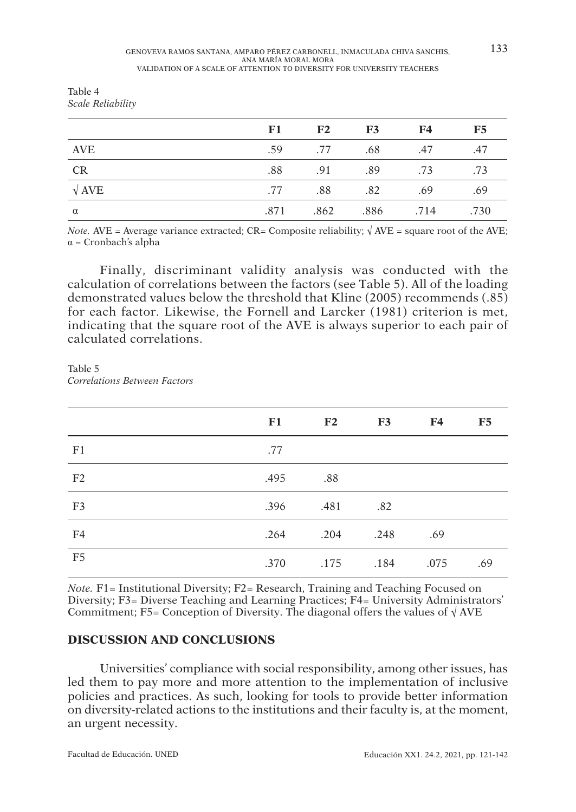**F1 F2 F3 F4 F5**

| Table 4 |                   |
|---------|-------------------|
|         | Scale Reliability |

| <i>Note.</i> AVE = Average variance extracted; CR= Composite reliability; $\sqrt{\text{AVE}}$ = square root of the AVE; |  |
|-------------------------------------------------------------------------------------------------------------------------|--|
| $\alpha$ = Cronbach's alpha                                                                                             |  |

AVE ... AVE ... AVE ... AVE ... AVE ... AVE CR .88 .91 .89 .73 .73  $\sqrt{\text{AVE}}$  .88 .82 .69 .69  $\alpha$  .871 .862 .886 .714 .730

Finally, discriminant validity analysis was conducted with the calculation of correlations between the factors (see Table 5). All of the loading demonstrated values below the threshold that Kline (2005) recommends (.85) for each factor. Likewise, the Fornell and Larcker (1981) criterion is met, indicating that the square root of the AVE is always superior to each pair of calculated correlations.

Table 5 Correlations Between Factors

|                 | F1   | $\mathbf{F2}$  | F3   | <b>F4</b> | F5  |
|-----------------|------|----------------|------|-----------|-----|
| F <sub>1</sub>  | .77  |                |      |           |     |
| F <sub>2</sub>  | .495 | .88            |      |           |     |
| F <sub>3</sub>  |      | .396 .481 .82  |      |           |     |
| F4              |      | .264 .204 .248 |      | .69       |     |
| $\overline{F5}$ | .370 | .175           | .184 | .075      | .69 |

Note. F1= Institutional Diversity; F2= Research, Training and Teaching Focused on Diversity; F3= Diverse Teaching and Learning Practices; F4= University Administrators' Commitment; F5= Conception of Diversity. The diagonal offers the values of  $\sqrt{\text{AVE}}$ 

### **DISCUSSION AND CONCLUSIONS**

Universities' compliance with social responsibility, among other issues, has led them to pay more and more attention to the implementation of inclusive policies and practices. As such, looking for tools to provide better information on diversity-related actions to the institutions and their faculty is, at the moment, an urgent necessity.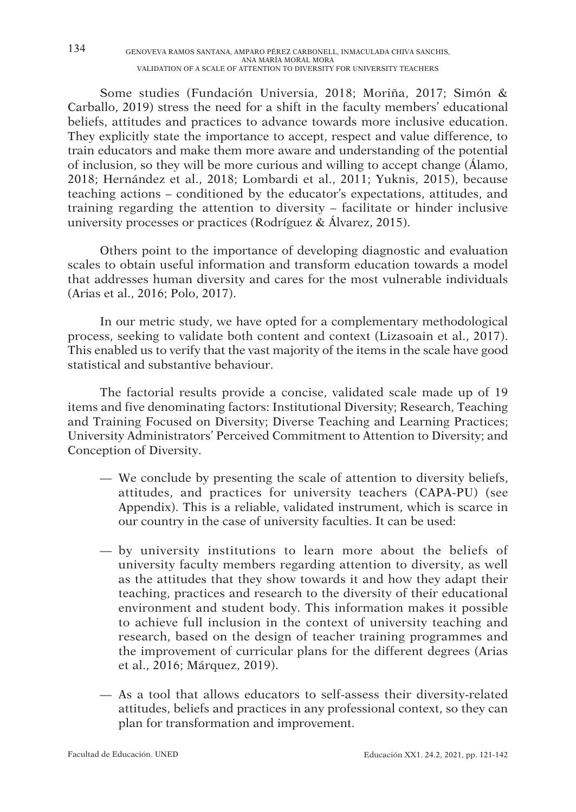Some studies (Fundación Universia, 2018; Moriña, 2017; Simón & Carballo, 2019) stress the need for a shift in the faculty members' educational beliefs, attitudes and practices to advance towards more inclusive education. They explicitly state the importance to accept, respect and value difference, to train educators and make them more aware and understanding of the potential of inclusion, so they will be more curious and willing to accept change (Álamo, 2018; Hernández et al., 2018; Lombardi et al., 2011; Yuknis, 2015), because teaching actions – conditioned by the educator's expectations, attitudes, and training regarding the attention to diversity – facilitate or hinder inclusive university processes or practices (Rodríguez & Álvarez, 2015).

Others point to the importance of developing diagnostic and evaluation scales to obtain useful information and transform education towards a model that addresses human diversity and cares for the most vulnerable individuals (Arias et al., 2016; Polo, 2017).

In our metric study, we have opted for a complementary methodological process, seeking to validate both content and context (Lizasoain et al., 2017). This enabled us to verify that the vast majority of the items in the scale have good statistical and substantive behaviour.

The factorial results provide a concise, validated scale made up of 19 items and five denominating factors: Institutional Diversity; Research, Teaching and Training Focused on Diversity; Diverse Teaching and Learning Practices; University Administrators' Perceived Commitment to Attention to Diversity; and Conception of Diversity.

- We conclude by presenting the scale of attention to diversity beliefs, attitudes, and practices for university teachers (CAPA-PU) (see Appendix). This is a reliable, validated instrument, which is scarce in our country in the case of university faculties. It can be used:
- by university institutions to learn more about the beliefs of university faculty members regarding attention to diversity, as well as the attitudes that they show towards it and how they adapt their teaching, practices and research to the diversity of their educational environment and student body. This information makes it possible to achieve full inclusion in the context of university teaching and research, based on the design of teacher training programmes and the improvement of curricular plans for the different degrees (Arias et al., 2016; Márquez, 2019).
- As a tool that allows educators to self-assess their diversity-related attitudes, beliefs and practices in any professional context, so they can plan for transformation and improvement.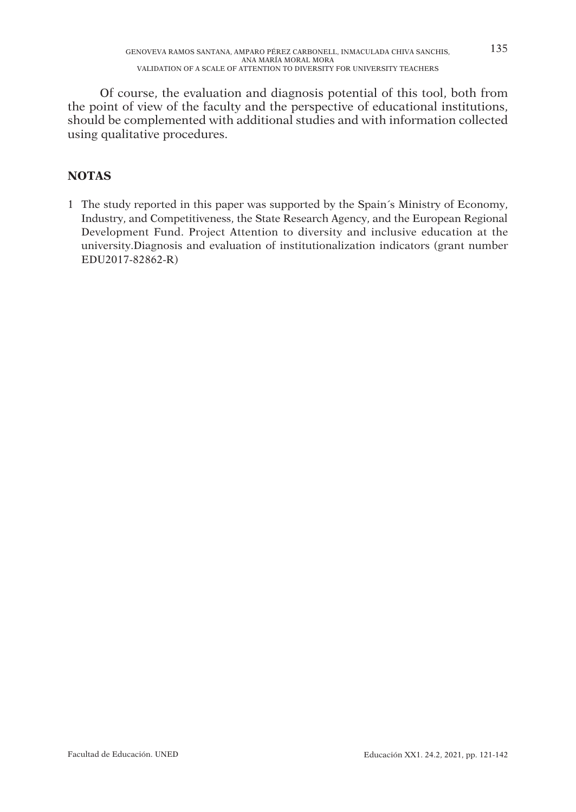Of course, the evaluation and diagnosis potential of this tool, both from the point of view of the faculty and the perspective of educational institutions, should be complemented with additional studies and with information collected using qualitative procedures.

# **NOTAS**

1 The study reported in this paper was supported by the Spain´s Ministry of Economy, Industry, and Competitiveness, the State Research Agency, and the European Regional Development Fund. Project Attention to diversity and inclusive education at the university.Diagnosis and evaluation of institutionalization indicators (grant number EDU2017-82862-R)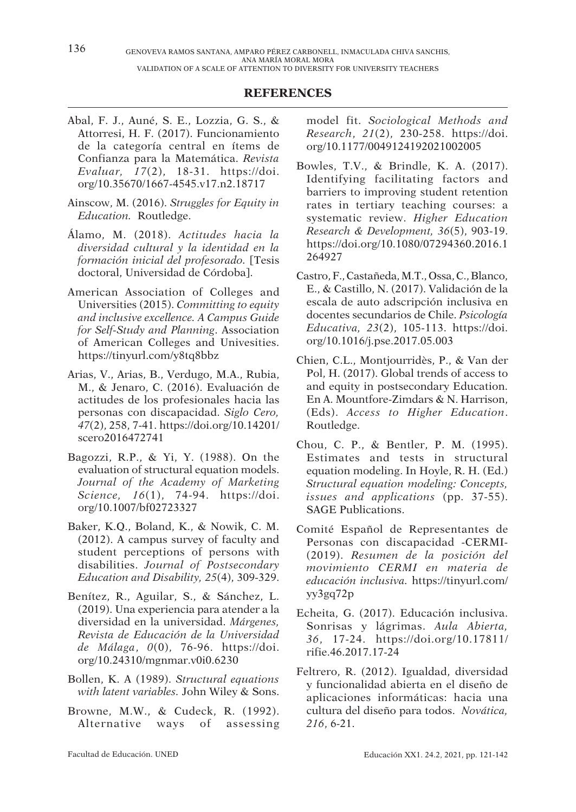#### **REFERENCES**

- Abal, F. J., Auné, S. E., Lozzia, G. S., & Attorresi, H. F. (2017). Funcionamiento de la categoría central en ítems de Confianza para la Matemática. Revista Evaluar, 17(2), 18-31. https://doi. org/10.35670/1667-4545.v17.n2.18717
- Ainscow, M. (2016). Struggles for Equity in Education. Routledge.
- Álamo, M. (2018). Actitudes hacia la diversidad cultural y la identidad en la formación inicial del profesorado. [Tesis doctoral, Universidad de Córdoba].
- American Association of Colleges and Universities (2015). Committing to equity and inclusive excellence. A Campus Guide for Self-Study and Planning. Association of American Colleges and Univesities. https://tinyurl.com/y8tq8bbz
- Arias, V., Arias, B., Verdugo, M.A., Rubia, M., & Jenaro, C. (2016). Evaluación de actitudes de los profesionales hacia las personas con discapacidad. Siglo Cero, 47(2), 258, 7-41. https://doi.org/10.14201/ scero2016472741
- Bagozzi, R.P., & Yi, Y. (1988). On the evaluation of structural equation models. Journal of the Academy of Marketing Science, 16(1), 74-94. https://doi. org/10.1007/bf02723327
- Baker, K.Q., Boland, K., & Nowik, C. M. (2012). A campus survey of faculty and student perceptions of persons with disabilities. Journal of Postsecondary Education and Disability, 25(4), 309-329.
- Benítez, R., Aguilar, S., & Sánchez, L. (2019). Una experiencia para atender a la diversidad en la universidad. Márgenes, Revista de Educación de la Universidad de Málaga, 0(0), 76-96. https://doi. org/10.24310/mgnmar.v0i0.6230
- Bollen, K. A (1989). Structural equations with latent variables. John Wiley & Sons.
- Browne, M.W., & Cudeck, R. (1992). Alternative ways of assessing

model fit. Sociological Methods and Research, 21(2), 230-258. https://doi. org/10.1177/0049124192021002005

- Bowles, T.V., & Brindle, K. A. (2017). Identifying facilitating factors and barriers to improving student retention rates in tertiary teaching courses: a systematic review. Higher Education Research & Development, 36(5), 903-19. https://doi.org/10.1080/07294360.2016.1 264927
- Castro, F., Castañeda, M.T., Ossa, C., Blanco, E., & Castillo, N. (2017). Validación de la escala de auto adscripción inclusiva en docentes secundarios de Chile. Psicología Educativa, 23(2), 105-113. https://doi. org/10.1016/j.pse.2017.05.003
- Chien, C.L., Montjourridès, P., & Van der Pol, H. (2017). Global trends of access to and equity in postsecondary Education. En A. Mountfore-Zimdars & N. Harrison, (Eds). Access to Higher Education. Routledge.
- Chou, C. P., & Bentler, P. M. (1995). Estimates and tests in structural equation modeling. In Hoyle, R. H. (Ed.) Structural equation modeling: Concepts, issues and applications (pp. 37-55). SAGE Publications.
- Comité Español de Representantes de Personas con discapacidad -CERMI- (2019). Resumen de la posición del movimiento CERMI en materia de educación inclusiva. https://tinyurl.com/ yy3gq72p
- Echeita, G. (2017). Educación inclusiva. Sonrisas y lágrimas. Aula Abierta, 36, 17-24. https://doi.org/10.17811/ rifie.46.2017.17-24
- Feltrero, R. (2012). Igualdad, diversidad y funcionalidad abierta en el diseño de aplicaciones informáticas: hacia una cultura del diseño para todos. Novática, 216, 6-21.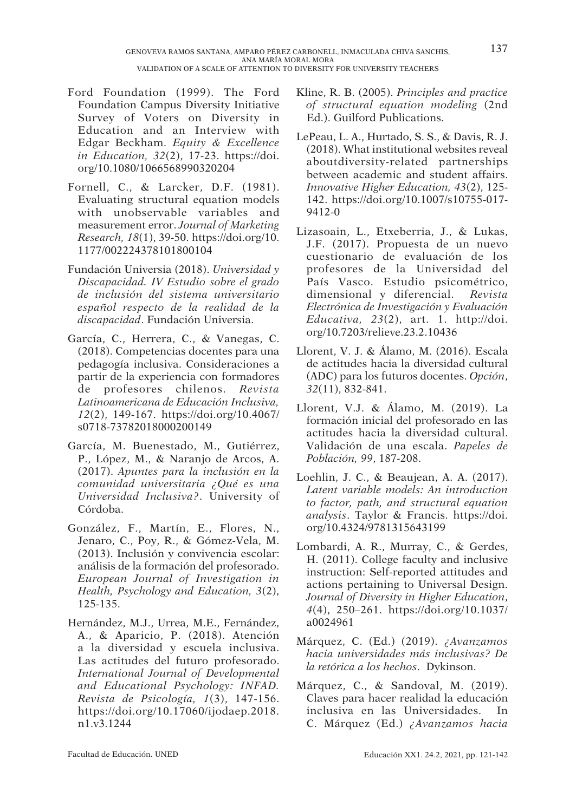- Ford Foundation (1999). The Ford Foundation Campus Diversity Initiative Survey of Voters on Diversity in Education and an Interview with Edgar Beckham. Equity & Excellence in Education, 32(2), 17-23. https://doi. org/10.1080/1066568990320204
- Fornell, C., & Larcker, D.F. (1981). Evaluating structural equation models with unobservable variables and measurement error. Journal of Marketing Research, 18(1), 39-50. https://doi.org/10. 1177/002224378101800104
- Fundación Universia (2018). Universidad y Discapacidad. IV Estudio sobre el grado de inclusión del sistema universitario español respecto de la realidad de la discapacidad. Fundación Universia.
- García, C., Herrera, C., & Vanegas, C. (2018). Competencias docentes para una pedagogía inclusiva. Consideraciones a partir de la experiencia con formadores de profesores chilenos. Revista Latinoamericana de Educación Inclusiva, 12(2), 149-167. https://doi.org/10.4067/ s0718-73782018000200149
- García, M. Buenestado, M., Gutiérrez, P., López, M., & Naranjo de Arcos, A. (2017). Apuntes para la inclusión en la comunidad universitaria ¿Qué es una Universidad Inclusiva?. University of Córdoba.
- González, F., Martín, E., Flores, N., Jenaro, C., Poy, R., & Gómez-Vela, M. (2013). Inclusión y convivencia escolar: análisis de la formación del profesorado. European Journal of Investigation in Health, Psychology and Education, 3(2), 125-135.
- Hernández, M.J., Urrea, M.E., Fernández, A., & Aparicio, P. (2018). Atención a la diversidad y escuela inclusiva. Las actitudes del futuro profesorado. International Journal of Developmental and Educational Psychology: INFAD. Revista de Psicología, 1(3), 147-156. https://doi.org/10.17060/ijodaep.2018. n1.v3.1244
- Kline, R. B. (2005). Principles and practice of structural equation modeling (2nd Ed.). Guilford Publications.
- LePeau, L. A., Hurtado, S. S., & Davis, R. J. (2018). What institutional websites reveal aboutdiversity-related partnerships between academic and student affairs. Innovative Higher Education, 43(2), 125- 142. https://doi.org/10.1007/s10755-017- 9412-0
- Lizasoain, L., Etxeberria, J., & Lukas, J.F. (2017). Propuesta de un nuevo cuestionario de evaluación de los profesores de la Universidad del País Vasco. Estudio psicométrico, dimensional y diferencial. Revista Electrónica de Investigación y Evaluación  $Educativa, 23(2), art. 1. http://doi.$ org/10.7203/relieve.23.2.10436
- Llorent, V. J. & Álamo, M. (2016). Escala de actitudes hacia la diversidad cultural (ADC) para los futuros docentes. Opción, 32(11), 832-841.
- Llorent, V.J. & Álamo, M. (2019). La formación inicial del profesorado en las actitudes hacia la diversidad cultural. Validación de una escala. Papeles de Población, 99, 187-208.
- Loehlin, J. C., & Beaujean, A. A. (2017). Latent variable models: An introduction to factor, path, and structural equation analysis. Taylor & Francis. https://doi. org/10.4324/9781315643199
- Lombardi, A. R., Murray, C., & Gerdes, H. (2011). College faculty and inclusive instruction: Self-reported attitudes and actions pertaining to Universal Design. Journal of Diversity in Higher Education, 4(4), 250–261. https://doi.org/10.1037/ a0024961
- Márquez, C. (Ed.) (2019). ¿Avanzamos hacia universidades más inclusivas? De la retórica a los hechos. Dykinson.
- Márquez, C., & Sandoval, M. (2019). Claves para hacer realidad la educación inclusiva en las Universidades. In C. Márquez (Ed.) ¿Avanzamos hacia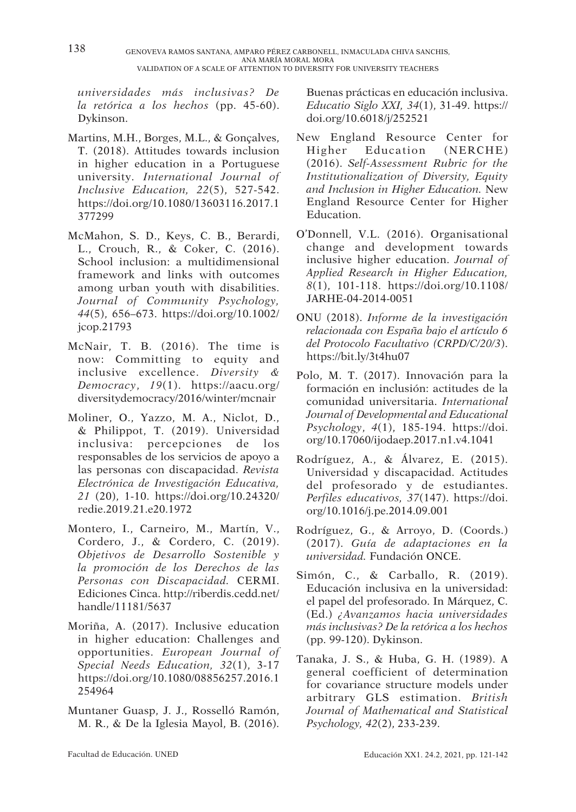universidades más inclusivas? De la retórica a los hechos (pp. 45-60). Dykinson.

- Martins, M.H., Borges, M.L., & Gonçalves, T. (2018). Attitudes towards inclusion in higher education in a Portuguese university. International Journal of Inclusive Education, 22(5), 527-542. https://doi.org/10.1080/13603116.2017.1 377299
- McMahon, S. D., Keys, C. B., Berardi, L., Crouch, R., & Coker, C. (2016). School inclusion: a multidimensional framework and links with outcomes among urban youth with disabilities. Journal of Community Psychology, 44(5), 656–673. https://doi.org/10.1002/ jcop.21793
- McNair, T. B. (2016). The time is now: Committing to equity and inclusive excellence. Diversity & Democracy, 19(1). https://aacu.org/ diversitydemocracy/2016/winter/mcnair
- Moliner, O., Yazzo, M. A., Niclot, D., & Philippot, T. (2019). Universidad inclusiva: percepciones de los responsables de los servicios de apoyo a las personas con discapacidad. Revista Electrónica de Investigación Educativa, 21 (20), 1-10. https://doi.org/10.24320/ redie.2019.21.e20.1972
- Montero, I., Carneiro, M., Martín, V., Cordero, J., & Cordero, C. (2019). Objetivos de Desarrollo Sostenible y la promoción de los Derechos de las Personas con Discapacidad. CERMI. Ediciones Cinca. http://riberdis.cedd.net/ handle/11181/5637
- Moriña, A. (2017). Inclusive education in higher education: Challenges and opportunities. European Journal of Special Needs Education, 32(1), 3-17 https://doi.org/10.1080/08856257.2016.1 254964
- Muntaner Guasp, J. J., Rosselló Ramón, M. R., & De la Iglesia Mayol, B. (2016).

Buenas prácticas en educación inclusiva. Educatio Siglo XXI, 34(1), 31-49. https:// doi.org/10.6018/j/252521

- New England Resource Center for Higher Education (NERCHE) (2016). Self-Assessment Rubric for the Institutionalization of Diversity, Equity and Inclusion in Higher Education. New England Resource Center for Higher Education.
- O'Donnell, V.L. (2016). Organisational change and development towards inclusive higher education. Journal of Applied Research in Higher Education, 8(1), 101-118. https://doi.org/10.1108/ JARHE-04-2014-0051
- ONU (2018). Informe de la investigación relacionada con España bajo el artículo 6 del Protocolo Facultativo (CRPD/C/20/3). https://bit.ly/3t4hu07
- Polo, M. T. (2017). Innovación para la formación en inclusión: actitudes de la comunidad universitaria. International Journal of Developmental and Educational Psychology, 4(1), 185-194. https://doi. org/10.17060/ijodaep.2017.n1.v4.1041
- Rodríguez, A., & Álvarez, E. (2015). Universidad y discapacidad. Actitudes del profesorado y de estudiantes. Perfiles educativos, 37(147). https://doi. org/10.1016/j.pe.2014.09.001
- Rodríguez, G., & Arroyo, D. (Coords.) (2017). Guía de adaptaciones en la universidad. Fundación ONCE.
- Simón, C., & Carballo, R. (2019). Educación inclusiva en la universidad: el papel del profesorado. In Márquez, C. (Ed.) ¿Avanzamos hacia universidades más inclusivas? De la retórica a los hechos (pp. 99-120). Dykinson.
- Tanaka, J. S., & Huba, G. H. (1989). A general coefficient of determination for covariance structure models under arbitrary GLS estimation. British Journal of Mathematical and Statistical Psychology, 42(2), 233-239.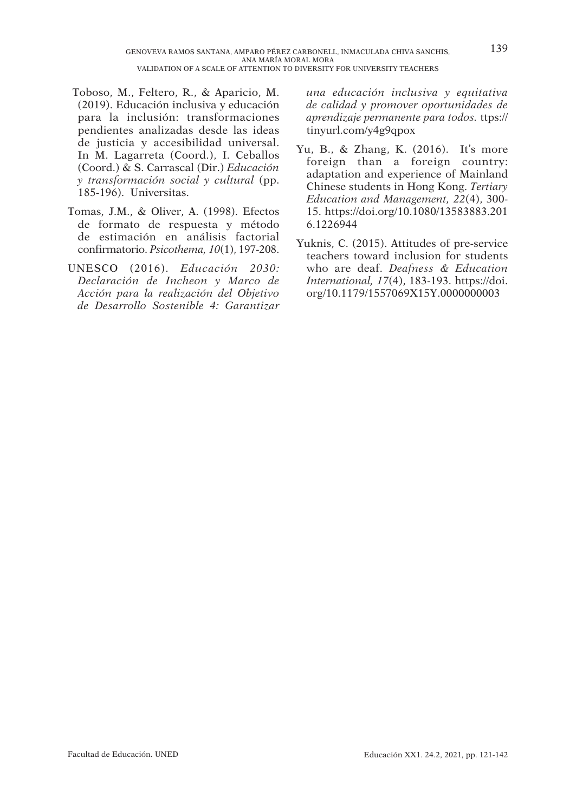- Toboso, M., Feltero, R., & Aparicio, M. (2019). Educación inclusiva y educación para la inclusión: transformaciones pendientes analizadas desde las ideas de justicia y accesibilidad universal. In M. Lagarreta (Coord.), I. Ceballos (Coord.) & S. Carrascal (Dir.) Educación y transformación social y cultural (pp. 185-196). Universitas.
- Tomas, J.M., & Oliver, A. (1998). Efectos de formato de respuesta y método de estimación en análisis factorial confirmatorio. Psicothema, 10(1), 197-208.
- UNESCO (2016). Educación 2030: Declaración de Incheon y Marco de Acción para la realización del Objetivo de Desarrollo Sostenible 4: Garantizar

una educación inclusiva y equitativa de calidad y promover oportunidades de aprendizaje permanente para todos. ttps:// tinyurl.com/y4g9qpox

- Yu, B., & Zhang, K. (2016). It's more foreign than a foreign country: adaptation and experience of Mainland Chinese students in Hong Kong. Tertiary Education and Management, 22(4), 300- 15. https://doi.org/10.1080/13583883.201 6.1226944
- Yuknis, C. (2015). Attitudes of pre-service teachers toward inclusion for students who are deaf. Deafness & Education International, 17(4), 183-193. https://doi. org/10.1179/1557069X15Y.0000000003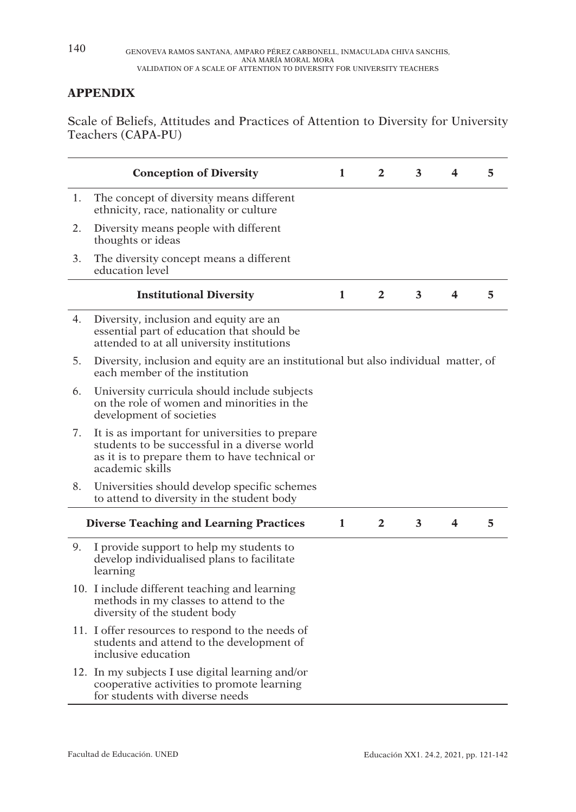## **APPENDIX**

Scale of Beliefs, Attitudes and Practices of Attention to Diversity for University Teachers (CAPA-PU)

|    | <b>Conception of Diversity</b>                                                                                                                                     | 1            | $\mathbf{2}$   | 3 | 4 | 5 |
|----|--------------------------------------------------------------------------------------------------------------------------------------------------------------------|--------------|----------------|---|---|---|
| 1. | The concept of diversity means different<br>ethnicity, race, nationality or culture                                                                                |              |                |   |   |   |
| 2. | Diversity means people with different<br>thoughts or ideas                                                                                                         |              |                |   |   |   |
| 3. | The diversity concept means a different<br>education level                                                                                                         |              |                |   |   |   |
|    | <b>Institutional Diversity</b>                                                                                                                                     | $\mathbf{1}$ | $\mathbf{2}$   | 3 | 4 | 5 |
| 4. | Diversity, inclusion and equity are an<br>essential part of education that should be<br>attended to at all university institutions                                 |              |                |   |   |   |
| 5. | Diversity, inclusion and equity are an institutional but also individual matter, of<br>each member of the institution                                              |              |                |   |   |   |
| 6. | University curricula should include subjects<br>on the role of women and minorities in the<br>development of societies                                             |              |                |   |   |   |
| 7. | It is as important for universities to prepare<br>students to be successful in a diverse world<br>as it is to prepare them to have technical or<br>academic skills |              |                |   |   |   |
| 8. | Universities should develop specific schemes<br>to attend to diversity in the student body                                                                         |              |                |   |   |   |
|    | <b>Diverse Teaching and Learning Practices</b>                                                                                                                     | $\mathbf{1}$ | $\overline{2}$ | 3 | 4 | 5 |
| 9. | I provide support to help my students to<br>develop individualised plans to facilitate<br>learning                                                                 |              |                |   |   |   |
|    | 10. I include different teaching and learning<br>methods in my classes to attend to the<br>diversity of the student body                                           |              |                |   |   |   |
|    | 11. I offer resources to respond to the needs of<br>students and attend to the development of<br>inclusive education                                               |              |                |   |   |   |
|    | 12. In my subjects I use digital learning and/or<br>cooperative activities to promote learning<br>for students with diverse needs                                  |              |                |   |   |   |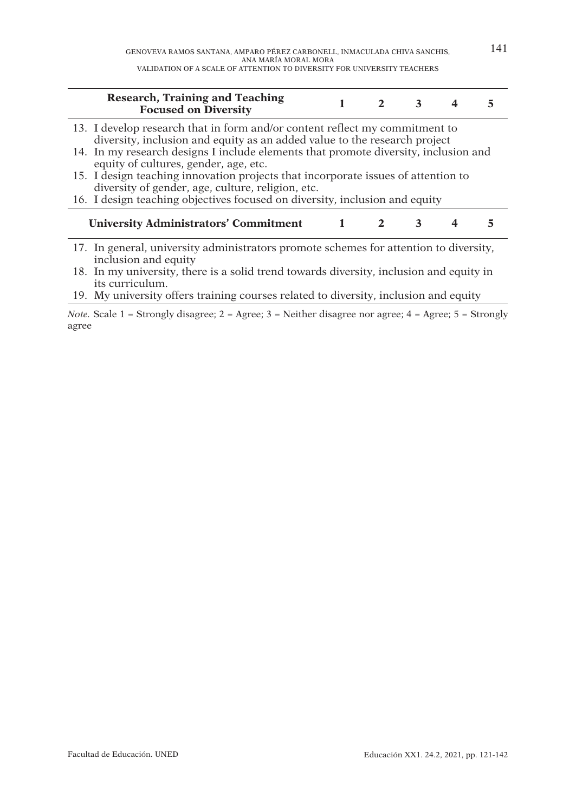| Research, Training and Teaching<br><b>Focused on Diversity</b>                                                                                                                                                                                                                                                                                                                                                                     |                | $\mathbf{2}$ | $\mathbf{3}$ | 4 |  |
|------------------------------------------------------------------------------------------------------------------------------------------------------------------------------------------------------------------------------------------------------------------------------------------------------------------------------------------------------------------------------------------------------------------------------------|----------------|--------------|--------------|---|--|
| 13. I develop research that in form and/or content reflect my commitment to<br>diversity, inclusion and equity as an added value to the research project<br>14. In my research designs I include elements that promote diversity, inclusion and<br>equity of cultures, gender, age, etc.<br>15. I design teaching innovation projects that incorporate issues of attention to<br>diversity of gender, age, culture, religion, etc. |                |              |              |   |  |
| 16. I design teaching objectives focused on diversity, inclusion and equity                                                                                                                                                                                                                                                                                                                                                        |                |              |              |   |  |
| <b>University Administrators' Commitment</b>                                                                                                                                                                                                                                                                                                                                                                                       | $\blacksquare$ |              | 3            | 4 |  |
| 17. In general, university administrators promote schemes for attention to diversity,<br>inclusion and equity                                                                                                                                                                                                                                                                                                                      |                |              |              |   |  |
| 18. In my university, there is a solid trend towards diversity, inclusion and equity in                                                                                                                                                                                                                                                                                                                                            |                |              |              |   |  |
| its curriculum.<br>19. My university offers training courses related to diversity, inclusion and equity                                                                                                                                                                                                                                                                                                                            |                |              |              |   |  |

*Note.* Scale  $1 =$  Strongly disagree;  $2 =$  Agree;  $3 =$  Neither disagree nor agree;  $4 =$  Agree;  $5 =$  Strongly agree